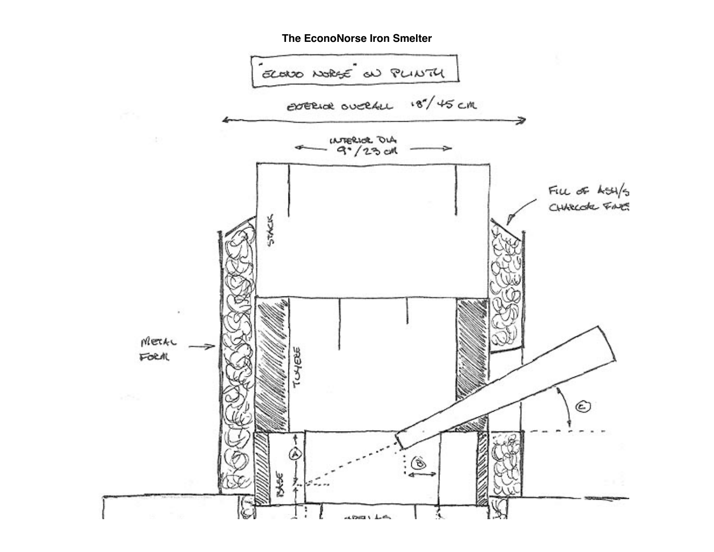## **The EconoNorse Iron Smelter**

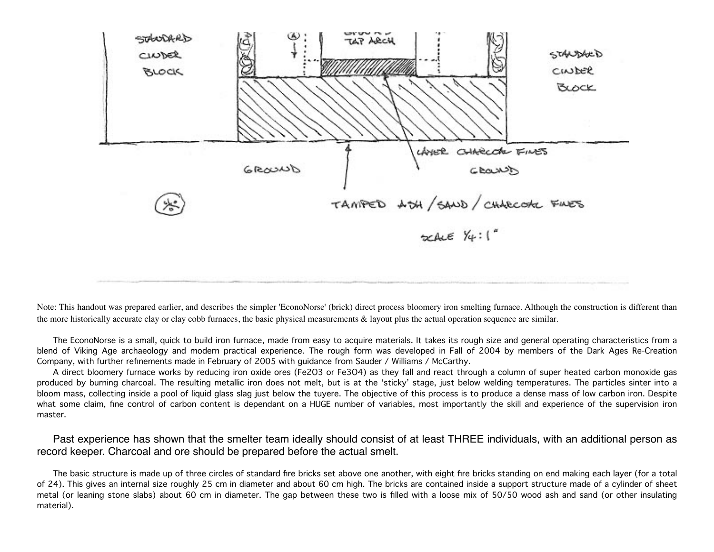

Note: This handout was prepared earlier, and describes the simpler 'EconoNorse' (brick) direct process bloomery iron smelting furnace. Although the construction is different than the more historically accurate clay or clay cobb furnaces, the basic physical measurements & layout plus the actual operation sequence are similar.

The EconoNorse is a small, quick to build iron furnace, made from easy to acquire materials. It takes its rough size and general operating characteristics from a blend of Viking Age archaeology and modern practical experience. The rough form was developed in Fall of 2004 by members of the Dark Ages Re-Creation Company, with further refinements made in February of 2005 with guidance from Sauder / Williams / McCarthy.

A direct bloomery furnace works by reducing iron oxide ores (Fe2O3 or Fe3O4) as they fall and react through a column of super heated carbon monoxide gas produced by burning charcoal. The resulting metallic iron does not melt, but is at the 'sticky' stage, just below welding temperatures. The particles sinter into a bloom mass, collecting inside a pool of liquid glass slag just below the tuyere. The objective of this process is to produce a dense mass of low carbon iron. Despite what some claim, fine control of carbon content is dependant on a HUGE number of variables, most importantly the skill and experience of the supervision iron master.

Past experience has shown that the smelter team ideally should consist of at least THREE individuals, with an additional person as record keeper. Charcoal and ore should be prepared before the actual smelt.

The basic structure is made up of three circles of standard fire bricks set above one another, with eight fire bricks standing on end making each layer (for a total of 24). This gives an internal size roughly 25 cm in diameter and about 60 cm high. The bricks are contained inside a support structure made of a cylinder of sheet metal (or leaning stone slabs) about 60 cm in diameter. The gap between these two is filled with a loose mix of 50/50 wood ash and sand (or other insulating material).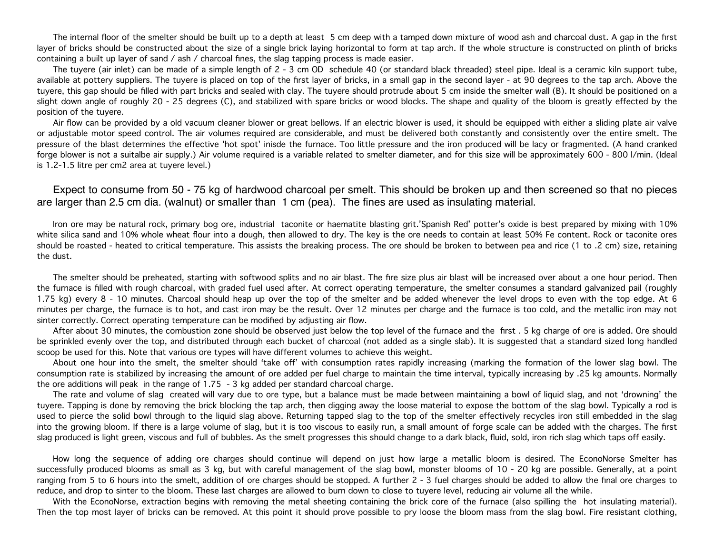The internal floor of the smelter should be built up to a depth at least 5 cm deep with a tamped down mixture of wood ash and charcoal dust. A gap in the first layer of bricks should be constructed about the size of a single brick laying horizontal to form at tap arch. If the whole structure is constructed on plinth of bricks containing a built up layer of sand / ash / charcoal fines, the slag tapping process is made easier.

The tuyere (air inlet) can be made of a simple length of 2 - 3 cm OD schedule 40 (or standard black threaded) steel pipe. Ideal is a ceramic kiln support tube, available at pottery suppliers. The tuyere is placed on top of the first layer of bricks, in a small gap in the second layer - at 90 degrees to the tap arch. Above the tuyere, this gap should be filled with part bricks and sealed with clay. The tuyere should protrude about 5 cm inside the smelter wall (B). It should be positioned on a slight down angle of roughly 20 - 25 degrees (C), and stabilized with spare bricks or wood blocks. The shape and quality of the bloom is greatly effected by the position of the tuyere.

Air flow can be provided by a old vacuum cleaner blower or great bellows. If an electric blower is used, it should be equipped with either a sliding plate air valve or adjustable motor speed control. The air volumes required are considerable, and must be delivered both constantly and consistently over the entire smelt. The pressure of the blast determines the effective 'hot spot' inisde the furnace. Too little pressure and the iron produced will be lacy or fragmented. (A hand cranked forge blower is not a suitalbe air supply.) Air volume required is a variable related to smelter diameter, and for this size will be approximately 600 - 800 l/min. (Ideal is 1.2-1.5 litre per cm2 area at tuyere level.)

Expect to consume from 50 - 75 kg of hardwood charcoal per smelt. This should be broken up and then screened so that no pieces are larger than 2.5 cm dia. (walnut) or smaller than 1 cm (pea). The fines are used as insulating material.

Iron ore may be natural rock, primary bog ore, industrial taconite or haematite blasting grit.'Spanish Red' potter's oxide is best prepared by mixing with 10% white silica sand and 10% whole wheat flour into a dough, then allowed to dry. The key is the ore needs to contain at least 50% Fe content. Rock or taconite ores should be roasted - heated to critical temperature. This assists the breaking process. The ore should be broken to between pea and rice (1 to .2 cm) size, retaining the dust.

The smelter should be preheated, starting with softwood splits and no air blast. The fire size plus air blast will be increased over about a one hour period. Then the furnace is filled with rough charcoal, with graded fuel used after. At correct operating temperature, the smelter consumes a standard galvanized pail (roughly 1.75 kg) every 8 - 10 minutes. Charcoal should heap up over the top of the smelter and be added whenever the level drops to even with the top edge. At 6 minutes per charge, the furnace is to hot, and cast iron may be the result. Over 12 minutes per charge and the furnace is too cold, and the metallic iron may not sinter correctly. Correct operating temperature can be modified by adjusting air flow.

After about 30 minutes, the combustion zone should be observed just below the top level of the furnace and the first . 5 kg charge of ore is added. Ore should be sprinkled evenly over the top, and distributed through each bucket of charcoal (not added as a single slab). It is suggested that a standard sized long handled scoop be used for this. Note that various ore types will have different volumes to achieve this weight.

About one hour into the smelt, the smelter should 'take off' with consumption rates rapidly increasing (marking the formation of the lower slag bowl. The consumption rate is stabilized by increasing the amount of ore added per fuel charge to maintain the time interval, typically increasing by .25 kg amounts. Normally the ore additions will peak in the range of 1.75 - 3 kg added per standard charcoal charge.

The rate and volume of slag created will vary due to ore type, but a balance must be made between maintaining a bowl of liquid slag, and not 'drowning' the tuyere. Tapping is done by removing the brick blocking the tap arch, then digging away the loose material to expose the bottom of the slag bowl. Typically a rod is used to pierce the solid bowl through to the liquid slag above. Returning tapped slag to the top of the smelter effectively recycles iron still embedded in the slag into the growing bloom. If there is a large volume of slag, but it is too viscous to easily run, a small amount of forge scale can be added with the charges. The first slag produced is light green, viscous and full of bubbles. As the smelt progresses this should change to a dark black, fluid, sold, iron rich slag which taps off easily.

How long the sequence of adding ore charges should continue will depend on just how large a metallic bloom is desired. The EconoNorse Smelter has successfully produced blooms as small as 3 kg, but with careful management of the slag bowl, monster blooms of 10 - 20 kg are possible. Generally, at a point ranging from 5 to 6 hours into the smelt, addition of ore charges should be stopped. A further 2 - 3 fuel charges should be added to allow the final ore charges to reduce, and drop to sinter to the bloom. These last charges are allowed to burn down to close to tuyere level, reducing air volume all the while.

With the EconoNorse, extraction begins with removing the metal sheeting containing the brick core of the furnace (also spilling the hot insulating material). Then the top most layer of bricks can be removed. At this point it should prove possible to pry loose the bloom mass from the slag bowl. Fire resistant clothing,